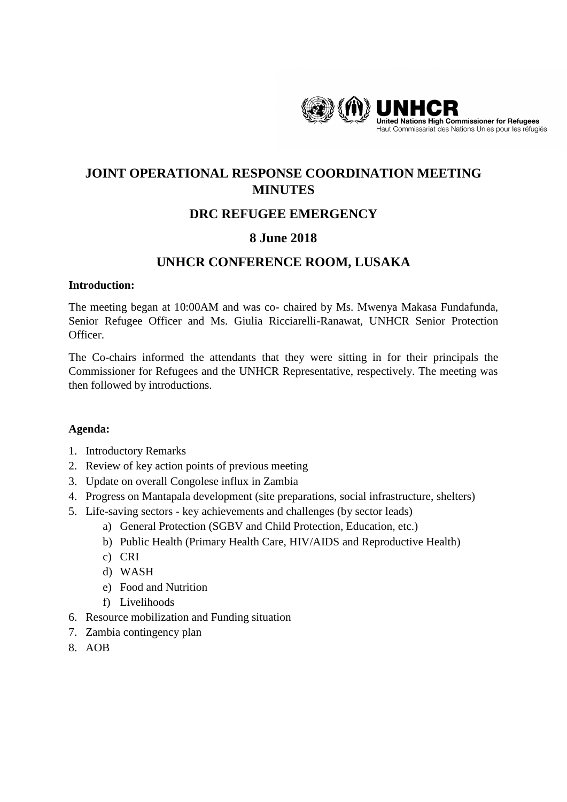

# **JOINT OPERATIONAL RESPONSE COORDINATION MEETING MINUTES**

## **DRC REFUGEE EMERGENCY**

## **8 June 2018**

## **UNHCR CONFERENCE ROOM, LUSAKA**

#### **Introduction:**

The meeting began at 10:00AM and was co- chaired by Ms. Mwenya Makasa Fundafunda, Senior Refugee Officer and Ms. Giulia Ricciarelli-Ranawat, UNHCR Senior Protection Officer.

The Co-chairs informed the attendants that they were sitting in for their principals the Commissioner for Refugees and the UNHCR Representative, respectively. The meeting was then followed by introductions.

#### **Agenda:**

- 1. Introductory Remarks
- 2. Review of key action points of previous meeting
- 3. Update on overall Congolese influx in Zambia
- 4. Progress on Mantapala development (site preparations, social infrastructure, shelters)
- 5. Life-saving sectors key achievements and challenges (by sector leads)
	- a) General Protection (SGBV and Child Protection, Education, etc.)
	- b) Public Health (Primary Health Care, HIV/AIDS and Reproductive Health)
	- c) CRI
	- d) WASH
	- e) Food and Nutrition
	- f) Livelihoods
- 6. Resource mobilization and Funding situation
- 7. Zambia contingency plan
- 8. AOB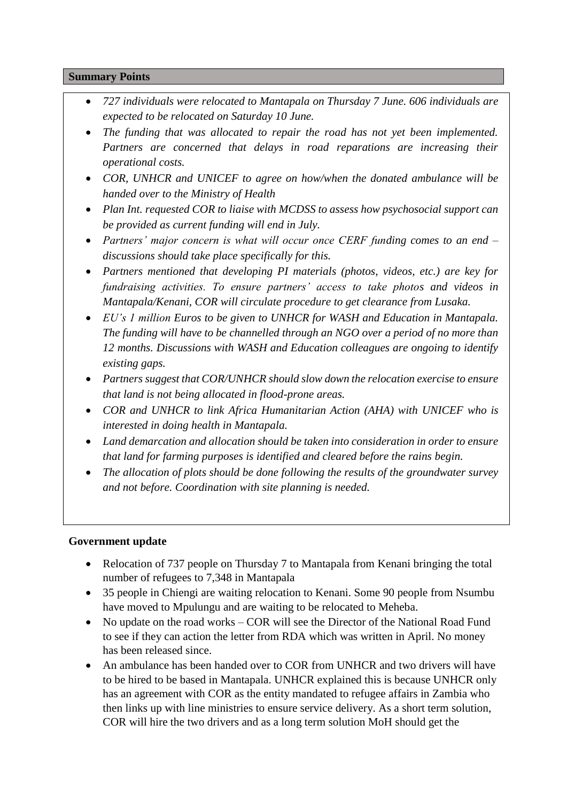#### **Summary Points**

- *727 individuals were relocated to Mantapala on Thursday 7 June. 606 individuals are expected to be relocated on Saturday 10 June.*
- *The funding that was allocated to repair the road has not yet been implemented.*  Partners are concerned that delays in road reparations are increasing their *operational costs.*
- *COR, UNHCR and UNICEF to agree on how/when the donated ambulance will be handed over to the Ministry of Health*
- *Plan Int. requested COR to liaise with MCDSS to assess how psychosocial support can be provided as current funding will end in July.*
- *Partners' major concern is what will occur once CERF funding comes to an end – discussions should take place specifically for this.*
- *Partners mentioned that developing PI materials (photos, videos, etc.) are key for fundraising activities. To ensure partners' access to take photos and videos in Mantapala/Kenani, COR will circulate procedure to get clearance from Lusaka.*
- *EU's 1 million Euros to be given to UNHCR for WASH and Education in Mantapala. The funding will have to be channelled through an NGO over a period of no more than 12 months. Discussions with WASH and Education colleagues are ongoing to identify existing gaps.*
- *Partners suggest that COR/UNHCR should slow down the relocation exercise to ensure that land is not being allocated in flood-prone areas.*
- *COR and UNHCR to link Africa Humanitarian Action (AHA) with UNICEF who is interested in doing health in Mantapala.*
- *Land demarcation and allocation should be taken into consideration in order to ensure that land for farming purposes is identified and cleared before the rains begin.*
- *The allocation of plots should be done following the results of the groundwater survey and not before. Coordination with site planning is needed.*

#### **Government update**

- Relocation of 737 people on Thursday 7 to Mantapala from Kenani bringing the total number of refugees to 7,348 in Mantapala
- 35 people in Chiengi are waiting relocation to Kenani. Some 90 people from Nsumbu have moved to Mpulungu and are waiting to be relocated to Meheba.
- No update on the road works COR will see the Director of the National Road Fund to see if they can action the letter from RDA which was written in April. No money has been released since.
- An ambulance has been handed over to COR from UNHCR and two drivers will have to be hired to be based in Mantapala. UNHCR explained this is because UNHCR only has an agreement with COR as the entity mandated to refugee affairs in Zambia who then links up with line ministries to ensure service delivery. As a short term solution, COR will hire the two drivers and as a long term solution MoH should get the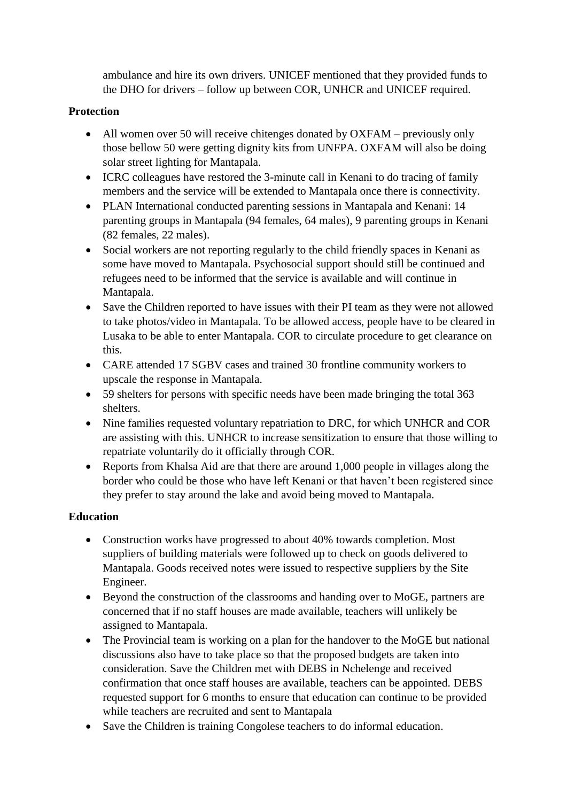ambulance and hire its own drivers. UNICEF mentioned that they provided funds to the DHO for drivers – follow up between COR, UNHCR and UNICEF required.

## **Protection**

- All women over 50 will receive chitenges donated by OXFAM previously only those bellow 50 were getting dignity kits from UNFPA. OXFAM will also be doing solar street lighting for Mantapala.
- ICRC colleagues have restored the 3-minute call in Kenani to do tracing of family members and the service will be extended to Mantapala once there is connectivity.
- PLAN International conducted parenting sessions in Mantapala and Kenani: 14 parenting groups in Mantapala (94 females, 64 males), 9 parenting groups in Kenani (82 females, 22 males).
- Social workers are not reporting regularly to the child friendly spaces in Kenani as some have moved to Mantapala. Psychosocial support should still be continued and refugees need to be informed that the service is available and will continue in Mantapala.
- Save the Children reported to have issues with their PI team as they were not allowed to take photos/video in Mantapala. To be allowed access, people have to be cleared in Lusaka to be able to enter Mantapala. COR to circulate procedure to get clearance on this.
- CARE attended 17 SGBV cases and trained 30 frontline community workers to upscale the response in Mantapala.
- 59 shelters for persons with specific needs have been made bringing the total 363 shelters.
- Nine families requested voluntary repatriation to DRC, for which UNHCR and COR are assisting with this. UNHCR to increase sensitization to ensure that those willing to repatriate voluntarily do it officially through COR.
- Reports from Khalsa Aid are that there are around 1,000 people in villages along the border who could be those who have left Kenani or that haven't been registered since they prefer to stay around the lake and avoid being moved to Mantapala.

## **Education**

- Construction works have progressed to about 40% towards completion. Most suppliers of building materials were followed up to check on goods delivered to Mantapala. Goods received notes were issued to respective suppliers by the Site Engineer.
- Beyond the construction of the classrooms and handing over to MoGE, partners are concerned that if no staff houses are made available, teachers will unlikely be assigned to Mantapala.
- The Provincial team is working on a plan for the handover to the MoGE but national discussions also have to take place so that the proposed budgets are taken into consideration. Save the Children met with DEBS in Nchelenge and received confirmation that once staff houses are available, teachers can be appointed. DEBS requested support for 6 months to ensure that education can continue to be provided while teachers are recruited and sent to Mantapala
- Save the Children is training Congolese teachers to do informal education.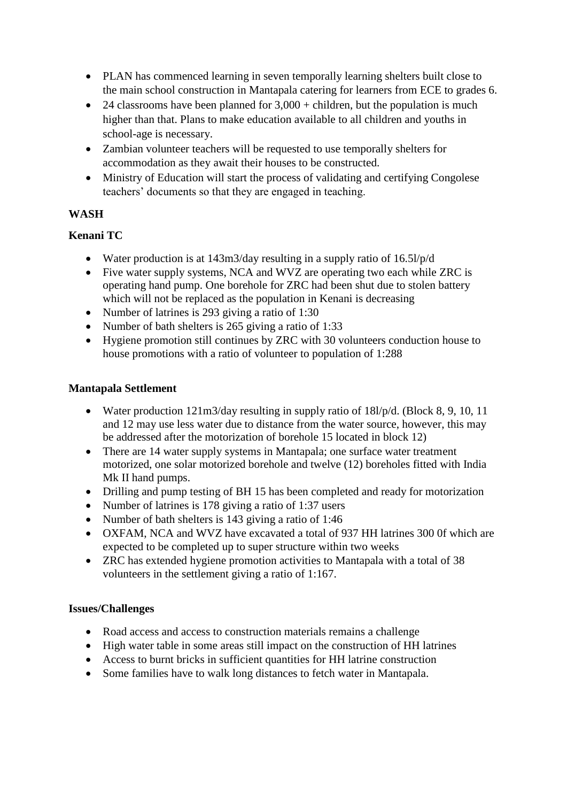- PLAN has commenced learning in seven temporally learning shelters built close to the main school construction in Mantapala catering for learners from ECE to grades 6.
- $\bullet$  24 classrooms have been planned for 3,000 + children, but the population is much higher than that. Plans to make education available to all children and youths in school-age is necessary.
- Zambian volunteer teachers will be requested to use temporally shelters for accommodation as they await their houses to be constructed.
- Ministry of Education will start the process of validating and certifying Congolese teachers' documents so that they are engaged in teaching.

## **WASH**

## **Kenani TC**

- Water production is at 143m3/day resulting in a supply ratio of 16.5l/p/d
- Five water supply systems, NCA and WVZ are operating two each while ZRC is operating hand pump. One borehole for ZRC had been shut due to stolen battery which will not be replaced as the population in Kenani is decreasing
- Number of latrines is 293 giving a ratio of 1:30
- Number of bath shelters is 265 giving a ratio of 1:33
- Hygiene promotion still continues by ZRC with 30 volunteers conduction house to house promotions with a ratio of volunteer to population of 1:288

#### **Mantapala Settlement**

- Water production 121m3/day resulting in supply ratio of 18l/p/d. (Block 8, 9, 10, 11) and 12 may use less water due to distance from the water source, however, this may be addressed after the motorization of borehole 15 located in block 12)
- There are 14 water supply systems in Mantapala; one surface water treatment motorized, one solar motorized borehole and twelve (12) boreholes fitted with India Mk II hand pumps.
- Drilling and pump testing of BH 15 has been completed and ready for motorization
- Number of latrines is 178 giving a ratio of 1:37 users
- Number of bath shelters is 143 giving a ratio of 1:46
- OXFAM, NCA and WVZ have excavated a total of 937 HH latrines 300 0f which are expected to be completed up to super structure within two weeks
- ZRC has extended hygiene promotion activities to Mantapala with a total of 38 volunteers in the settlement giving a ratio of 1:167.

#### **Issues/Challenges**

- Road access and access to construction materials remains a challenge
- High water table in some areas still impact on the construction of HH latrines
- Access to burnt bricks in sufficient quantities for HH latrine construction
- Some families have to walk long distances to fetch water in Mantapala.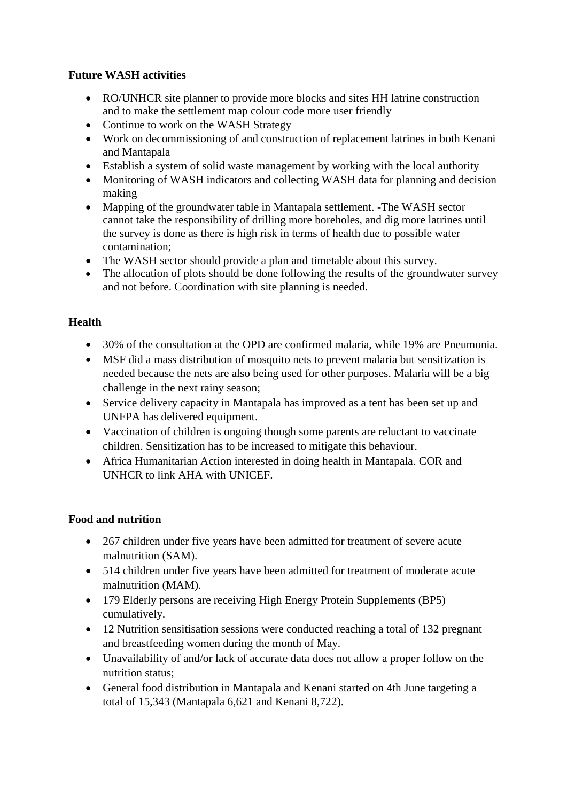### **Future WASH activities**

- RO/UNHCR site planner to provide more blocks and sites HH latrine construction and to make the settlement map colour code more user friendly
- Continue to work on the WASH Strategy
- Work on decommissioning of and construction of replacement latrines in both Kenani and Mantapala
- Establish a system of solid waste management by working with the local authority
- Monitoring of WASH indicators and collecting WASH data for planning and decision making
- Mapping of the groundwater table in Mantapala settlement. -The WASH sector cannot take the responsibility of drilling more boreholes, and dig more latrines until the survey is done as there is high risk in terms of health due to possible water contamination;
- The WASH sector should provide a plan and timetable about this survey.
- The allocation of plots should be done following the results of the groundwater survey and not before. Coordination with site planning is needed.

## **Health**

- 30% of the consultation at the OPD are confirmed malaria, while 19% are Pneumonia.
- MSF did a mass distribution of mosquito nets to prevent malaria but sensitization is needed because the nets are also being used for other purposes. Malaria will be a big challenge in the next rainy season;
- Service delivery capacity in Mantapala has improved as a tent has been set up and UNFPA has delivered equipment.
- Vaccination of children is ongoing though some parents are reluctant to vaccinate children. Sensitization has to be increased to mitigate this behaviour.
- Africa Humanitarian Action interested in doing health in Mantapala. COR and UNHCR to link AHA with UNICEF.

## **Food and nutrition**

- 267 children under five years have been admitted for treatment of severe acute malnutrition (SAM).
- 514 children under five years have been admitted for treatment of moderate acute malnutrition (MAM).
- 179 Elderly persons are receiving High Energy Protein Supplements (BP5) cumulatively.
- 12 Nutrition sensitisation sessions were conducted reaching a total of 132 pregnant and breastfeeding women during the month of May.
- Unavailability of and/or lack of accurate data does not allow a proper follow on the nutrition status;
- General food distribution in Mantapala and Kenani started on 4th June targeting a total of 15,343 (Mantapala 6,621 and Kenani 8,722).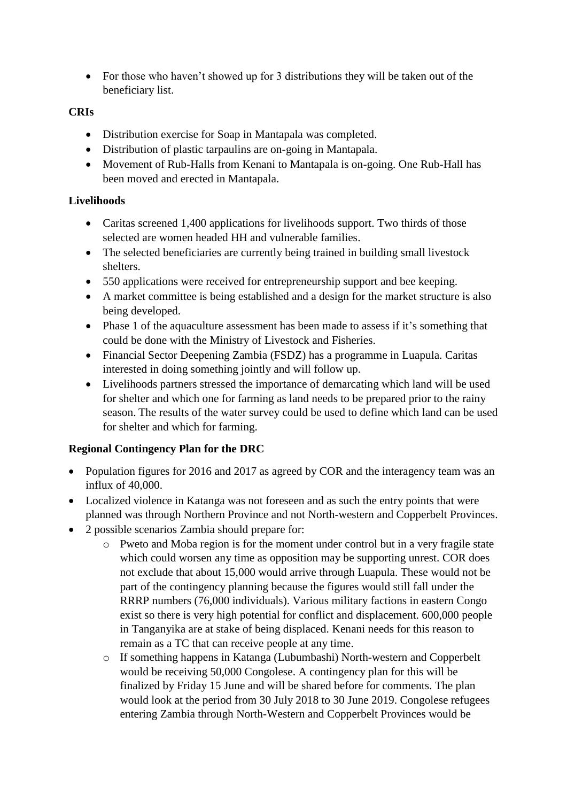• For those who haven't showed up for 3 distributions they will be taken out of the beneficiary list.

### **CRIs**

- Distribution exercise for Soap in Mantapala was completed.
- Distribution of plastic tarpaulins are on-going in Mantapala.
- Movement of Rub-Halls from Kenani to Mantapala is on-going. One Rub-Hall has been moved and erected in Mantapala.

#### **Livelihoods**

- Caritas screened 1,400 applications for livelihoods support. Two thirds of those selected are women headed HH and vulnerable families.
- The selected beneficiaries are currently being trained in building small livestock shelters.
- 550 applications were received for entrepreneurship support and bee keeping.
- A market committee is being established and a design for the market structure is also being developed.
- Phase 1 of the aquaculture assessment has been made to assess if it's something that could be done with the Ministry of Livestock and Fisheries.
- Financial Sector Deepening Zambia (FSDZ) has a programme in Luapula. Caritas interested in doing something jointly and will follow up.
- Livelihoods partners stressed the importance of demarcating which land will be used for shelter and which one for farming as land needs to be prepared prior to the rainy season. The results of the water survey could be used to define which land can be used for shelter and which for farming.

## **Regional Contingency Plan for the DRC**

- Population figures for 2016 and 2017 as agreed by COR and the interagency team was an influx of 40,000.
- Localized violence in Katanga was not foreseen and as such the entry points that were planned was through Northern Province and not North-western and Copperbelt Provinces.
- 2 possible scenarios Zambia should prepare for:
	- o Pweto and Moba region is for the moment under control but in a very fragile state which could worsen any time as opposition may be supporting unrest. COR does not exclude that about 15,000 would arrive through Luapula. These would not be part of the contingency planning because the figures would still fall under the RRRP numbers (76,000 individuals). Various military factions in eastern Congo exist so there is very high potential for conflict and displacement. 600,000 people in Tanganyika are at stake of being displaced. Kenani needs for this reason to remain as a TC that can receive people at any time.
	- o If something happens in Katanga (Lubumbashi) North-western and Copperbelt would be receiving 50,000 Congolese. A contingency plan for this will be finalized by Friday 15 June and will be shared before for comments. The plan would look at the period from 30 July 2018 to 30 June 2019. Congolese refugees entering Zambia through North-Western and Copperbelt Provinces would be